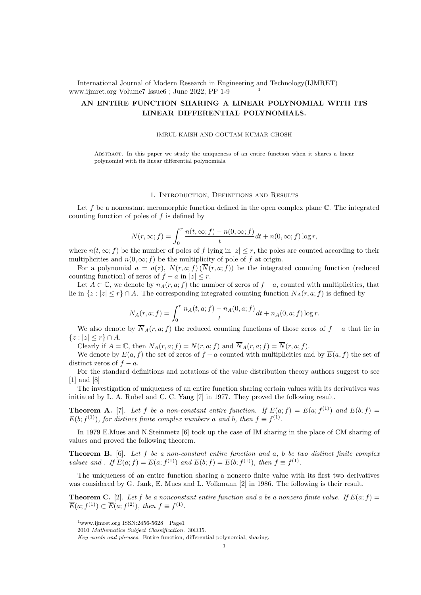International Journal of Modern Research in Engineering and Technology(IJMRET) www.ijmret.org Volume7 Issue6 ; June 2022; PP 1-9 <sup>1</sup>

# AN ENTIRE FUNCTION SHARING A LINEAR POLYNOMIAL WITH ITS LINEAR DIFFERENTIAL POLYNOMIALS.

### IMRUL KAISH AND GOUTAM KUMAR GHOSH

Abstract. In this paper we study the uniqueness of an entire function when it shares a linear polynomial with its linear differential polynomials.

### 1. Introduction, Definitions and Results

Let f be a noncostant meromorphic function defined in the open complex plane  $\mathbb C$ . The integrated counting function of poles of  $f$  is defined by

$$
N(r, \infty; f) = \int_0^r \frac{n(t, \infty; f) - n(0, \infty; f)}{t} dt + n(0, \infty; f) \log r,
$$

where  $n(t, \infty; f)$  be the number of poles of f lying in  $|z| \leq r$ , the poles are counted according to their multiplicities and  $n(0, \infty; f)$  be the multiplicity of pole of f at origin.

For a polynomial  $a = a(z)$ ,  $N(r, a; f) (\overline{N}(r, a; f))$  be the integrated counting function (reduced counting function) of zeros of  $f - a$  in  $|z| \leq r$ .

Let  $A \subset \mathbb{C}$ , we denote by  $n_A(r, a; f)$  the number of zeros of  $f - a$ , counted with multiplicities, that lie in  $\{z : |z| \leq r\} \cap A$ . The corresponding integrated counting function  $N_A(r, a; f)$  is defined by

$$
N_A(r, a; f) = \int_0^r \frac{n_A(t, a; f) - n_A(0, a; f)}{t} dt + n_A(0, a; f) \log r.
$$

We also denote by  $\overline{N}_A(r, a; f)$  the reduced counting functions of those zeros of  $f - a$  that lie in  ${z : |z| \leq r} \cap A$ .

Clearly if  $A = \mathbb{C}$ , then  $N_A(r, a; f) = N(r, a; f)$  and  $\overline{N}_A(r, a; f) = \overline{N}(r, a; f)$ .

We denote by  $E(a, f)$  the set of zeros of  $f - a$  counted with multiplicities and by  $\overline{E}(a, f)$  the set of distinct zeros of  $f - a$ .

For the standard definitions and notations of the value distribution theory authors suggest to see [1] and [8]

The investigation of uniqueness of an entire function sharing certain values with its derivatives was initiated by L. A. Rubel and C. C. Yang [7] in 1977. They proved the following result.

**Theorem A.** [7]. Let f be a non-constant entire function. If  $E(a; f) = E(a; f<sup>(1)</sup>)$  and  $E(b; f) =$  $E(b; f^{(1)})$ , for distinct finite complex numbers a and b, then  $f \equiv f^{(1)}$ .

In 1979 E.Mues and N.Steinmetz [6] took up the case of IM sharing in the place of CM sharing of values and proved the following theorem.

**Theorem B.** [6]. Let f be a non-constant entire function and  $a$ , b be two distinct finite complex values and . If  $\overline{E}(a; f) = \overline{E}(a; f^{(1)})$  and  $\overline{E}(b; f) = \overline{E}(b; f^{(1)})$ , then  $f \equiv f^{(1)}$ .

The uniqueness of an entire function sharing a nonzero finite value with its first two derivatives was considered by G. Jank, E. Mues and L. Volkmann [2] in 1986. The following is their result.

**Theorem C.** [2]. Let f be a nonconstant entire function and a be a nonzero finite value. If  $\overline{E}(a; f)$  =  $\overline{E}(a; f^{(1)}) \subset \overline{E}(a; f^{(2)})$ , then  $f \equiv f^{(1)}$ .

 $1$ www.ijmret.org ISSN:2456-5628 Page1

<sup>2010</sup> Mathematics Subject Classification. 30D35.

Key words and phrases. Entire function, differential polynomial, sharing.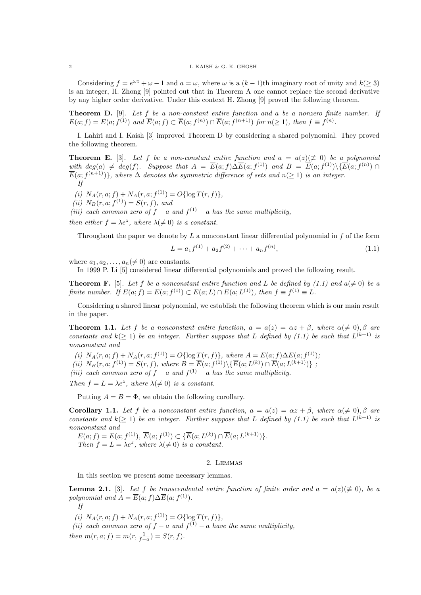### $2$  I. KAISH & G. K. GHOSH

Considering  $f = e^{\omega z} + \omega - 1$  and  $a = \omega$ , where  $\omega$  is a  $(k-1)$ th imaginary root of unity and  $k(\geq 3)$ is an integer, H. Zhong [9] pointed out that in Theorem A one cannot replace the second derivative by any higher order derivative. Under this context H. Zhong [9] proved the following theorem.

**Theorem D.** [9]. Let  $f$  be a non-constant entire function and a be a nonzero finite number. If  $E(a; f) = E(a; f<sup>(1)</sup>)$  and  $\overline{E}(a; f) \subset \overline{E}(a; f<sup>(n)</sup>) \cap \overline{E}(a; f<sup>(n+1)</sup>)$  for  $n(\geq 1)$ , then  $f \equiv f<sup>(n)</sup>$ .

I. Lahiri and I. Kaish [3] improved Theorem D by considering a shared polynomial. They proved the following theorem.

**Theorem E.** [3]. Let f be a non-constant entire function and  $a = a(z)(\neq 0)$  be a polynomial with  $deg(a) \neq deg(f)$ . Suppose that  $A = \overline{E}(a; f) \Delta \overline{E}(a; f^{(1)})$  and  $B = \overline{E}(a; f^{(1)}) \setminus {\overline{E}(a; f^{(n)}) \cap \overline{E}(a; f^{(1)})}$  $\overline{E}(a; f^{(n+1)})\},\,$  where  $\Delta$  denotes the symmetric difference of sets and  $n(\geq 1)$  is an integer. If

- (i)  $N_A(r, a; f) + N_A(r, a; f^{(1)}) = O\{\log T(r, f)\},\$
- (*ii*)  $N_B(r, a; f^{(1)}) = S(r, f)$ , and

(iii) each common zero of  $f - a$  and  $f^{(1)} - a$  has the same multiplicity,

then either  $f = \lambda e^z$ , where  $\lambda (\neq 0)$  is a constant.

Throughout the paper we denote by  $L$  a nonconstant linear differential polynomial in  $f$  of the form

$$
L = a_1 f^{(1)} + a_2 f^{(2)} + \dots + a_n f^{(n)},
$$
\n(1.1)

where  $a_1, a_2, \ldots, a_n (\neq 0)$  are constants.

In 1999 P. Li [5] considered linear differential polynomials and proved the following result.

**Theorem F.** [5]. Let f be a nonconstant entire function and L be defined by (1.1) and  $a(\neq 0)$  be a finite number. If  $\overline{E}(a; f) = \overline{E}(a; f^{(1)}) \subset \overline{E}(a; L) \cap \overline{E}(a; L^{(1)})$ , then  $f \equiv f^{(1)} \equiv L$ .

Considering a shared linear polynomial, we establish the following theorem which is our main result in the paper.

**Theorem 1.1.** Let f be a nonconstant entire function,  $a = a(z) = \alpha z + \beta$ , where  $\alpha (\neq 0), \beta$  are constants and  $k(\geq 1)$  be an integer. Further suppose that L defined by (1.1) be such that  $L^{(k+1)}$  is nonconstant and

(i)  $N_A(r, a; f) + N_A(r, a; f^{(1)}) = O\{\log T(r, f)\},\$  where  $A = \overline{E}(a; f) \Delta \overline{E}(a; f^{(1)})$ ;

(ii)  $N_B(r, a; f^{(1)}) = S(r, f)$ , where  $B = \overline{E}(a; f^{(1)}) \setminus {\overline{E}(a; L^{(k)}) \cap \overline{E}(a; L^{(k+1)})}$ ;

(iii) each common zero of  $f - a$  and  $f^{(1)} - a$  has the same multiplicity.

Then  $f = L = \lambda e^z$ , where  $\lambda (\neq 0)$  is a constant.

Putting  $A = B = \Phi$ , we obtain the following corollary.

**Corollary 1.1.** Let f be a nonconstant entire function,  $a = a(z) = \alpha z + \beta$ , where  $\alpha(\neq 0), \beta$  are constants and  $k(\geq 1)$  be an integer. Further suppose that L defined by (1.1) be such that  $L^{(k+1)}$  is nonconstant and

 $E(a; f) = E(a; f<sup>(1)</sup>), \overline{E}(a; f<sup>(1)</sup>) \subset {\overline{E}}(a; L<sup>(k)</sup>) \cap {\overline{E}}(a; L<sup>(k+1)</sup>)}.$ Then  $f = L = \lambda e^z$ , where  $\lambda (\neq 0)$  is a constant.

## 2. Lemmas

In this section we present some necessary lemmas.

**Lemma 2.1.** [3]. Let f be transcendental entire function of finite order and  $a = a(z) (\not\equiv 0)$ , be a polynomial and  $A = \overline{E}(a; f) \Delta \overline{E}(a; f^{(1)})$ .

If

(i)  $N_A(r, a; f) + N_A(r, a; f^{(1)}) = O\{\log T(r, f)\},\$ 

(ii) each common zero of  $f - a$  and  $f^{(1)} - a$  have the same multiplicity, then  $m(r, a; f) = m(r, \frac{1}{f-a}) = S(r, f)$ .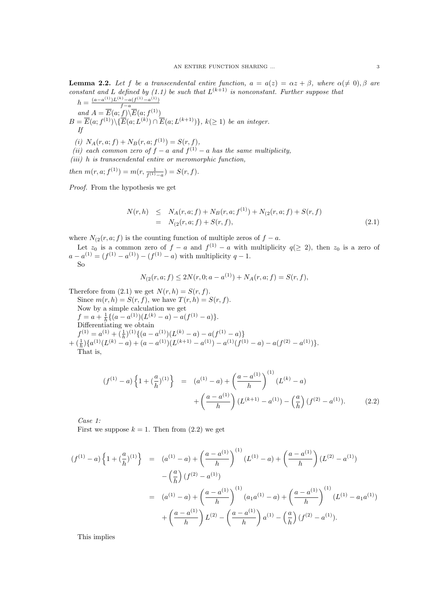**Lemma 2.2.** Let f be a transcendental entire function,  $a = a(z) = \alpha z + \beta$ , where  $\alpha (\neq 0), \beta$  are constant and L defined by (1.1) be such that  $L^{(k+1)}$  is nonconstant. Further suppose that  $(a-a^{(1)})L^{(k)} - a(f^{(1)}-a^{(1)})$ 

$$
h = \frac{(a-a^{\lambda})\sum \lambda - a(f^{\lambda}) - a(f^{\lambda})}{f - a}
$$
  
\nand  $A = \overline{E}(a; f) \setminus \overline{E}(a; f^{(1)})$   
\n $B = \overline{E}(a; f^{(1)}) \setminus \{\overline{E}(a; L^{(k)}) \cap \overline{E}(a; L^{(k+1)})\}, k(\ge 1)$  be an integer.  
\n $f$   
\n(i)  $N_A(r, a; f) + N_B(r, a; f^{(1)}) = S(r, f),$ 

- (ii) each common zero of  $f a$  and  $f^{(1)} a$  has the same multiplicity,
- $(iii)$  h is transcendental entire or meromorphic function,

then  $m(r, a; f^{(1)}) = m(r, \frac{1}{f^{(1)}-a}) = S(r, f)$ .

Proof. From the hypothesis we get

$$
N(r,h) \leq N_A(r,a;f) + N_B(r,a;f^{(1)}) + N_{(2}(r,a;f) + S(r,f)
$$
  
= 
$$
N_{(2}(r,a;f) + S(r,f),
$$
 (2.1)

where  $N_{(2}(r, a; f)$  is the counting function of multiple zeros of  $f - a$ .

Let  $z_0$  is a common zero of  $f - a$  and  $f^{(1)} - a$  with multiplicity  $q(\geq 2)$ , then  $z_0$  is a zero of  $a - a^{(1)} = (f^{(1)} - a^{(1)}) - (f^{(1)} - a)$  with multiplicity  $q - 1$ . So

$$
N_{(2}(r, a; f) \le 2N(r, 0; a - a^{(1)}) + N_A(r, a; f) = S(r, f),
$$

Therefore from  $(2.1)$  we get  $N(r, h) = S(r, f)$ . Since  $m(r, h) = S(r, f)$ , we have  $T(r, h) = S(r, f)$ . Now by a simple calculation we get  $f = a + \frac{1}{h} \{ (a - a^{(1)}) (L^{(k)} - a) - a (f^{(1)} - a) \}.$ Differentiating we obtain  $f^{(1)} = a^{(1)} + \left(\frac{1}{h}\right)^{(1)} \{ (a - a^{(1)}) (L^{(k)} - a) - a(f^{(1)} - a) \}$  $+\left(\frac{1}{h}\right)\left\{a^{(1)}(L^{(k)}-a)+(a-a^{(1)})(L^{(k+1)}-a^{(1)})-a^{(1)}(f^{(1)}-a)-a(f^{(2)}-a^{(1)})\right\}.$ 

That is,

$$
(f^{(1)} - a) \left\{ 1 + \left(\frac{a}{h}\right)^{(1)} \right\} = (a^{(1)} - a) + \left(\frac{a - a^{(1)}}{h}\right)^{(1)} (L^{(k)} - a) + \left(\frac{a - a^{(1)}}{h}\right) (L^{(k+1)} - a^{(1)}) - \left(\frac{a}{h}\right) (f^{(2)} - a^{(1)}).
$$
(2.2)

Case 1:

First we suppose  $k = 1$ . Then from  $(2.2)$  we get

$$
(f^{(1)} - a) \left\{ 1 + \left(\frac{a}{h}\right)^{(1)} \right\} = (a^{(1)} - a) + \left(\frac{a - a^{(1)}}{h}\right)^{(1)} (L^{(1)} - a) + \left(\frac{a - a^{(1)}}{h}\right) (L^{(2)} - a^{(1)})
$$

$$
- \left(\frac{a}{h}\right) (f^{(2)} - a^{(1)})
$$

$$
= (a^{(1)} - a) + \left(\frac{a - a^{(1)}}{h}\right)^{(1)} (a_1 a^{(1)} - a) + \left(\frac{a - a^{(1)}}{h}\right)^{(1)} (L^{(1)} - a_1 a^{(1)})
$$

$$
+ \left(\frac{a - a^{(1)}}{h}\right) L^{(2)} - \left(\frac{a - a^{(1)}}{h}\right) a^{(1)} - \left(\frac{a}{h}\right) (f^{(2)} - a^{(1)}).
$$

This implies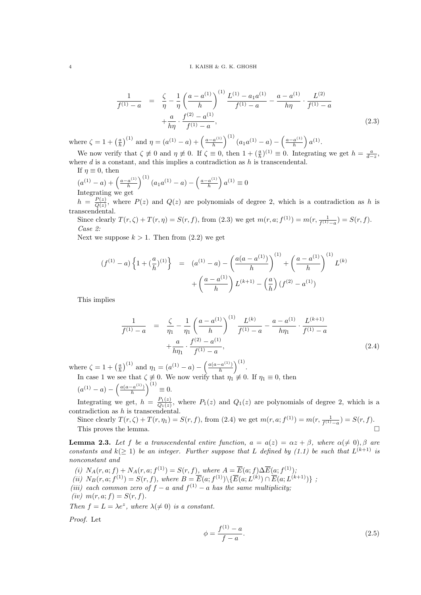#### $4$  I. KAISH & G. K. GHOSH

$$
\frac{1}{f^{(1)}-a} = \frac{\zeta}{\eta} - \frac{1}{\eta} \left( \frac{a - a^{(1)}}{h} \right)^{(1)} \frac{L^{(1)} - a_1 a^{(1)}}{f^{(1)} - a} - \frac{a - a^{(1)}}{h \eta} \cdot \frac{L^{(2)}}{f^{(1)} - a} + \frac{a}{h \eta} \cdot \frac{f^{(2)} - a^{(1)}}{f^{(1)} - a},
$$
\n(2.3)

where  $\zeta = 1 + \left(\frac{a}{h}\right)^{(1)}$  and  $\eta = (a^{(1)} - a) + \left(\frac{a - a^{(1)}}{h}\right)$  $\left(\frac{a^{(1)}}{h}\right)^{(1)}(a_1a^{(1)}-a)-\left(\frac{a-a^{(1)}}{h}\right)$  $\frac{a^{(1)}}{h}$   $a^{(1)}$ .

We now verify that  $\zeta \not\equiv 0$  and  $\eta \not\equiv 0$ . If  $\zeta \equiv 0$ , then  $1 + (\frac{a}{h})^{(1)} \equiv 0$ . Integrating we get  $h = \frac{a}{d-z}$ , where  $d$  is a constant, and this implies a contradiction as  $h$  is transcendental.

If  $\eta \equiv 0$ , then  $(a^{(1)} - a) + \left(\frac{a - a^{(1)}}{h}\right)$  $\left(\frac{a^{(1)}}{h}\right)^{(1)}(a_1a^{(1)}-a)-\left(\frac{a-a^{(1)}}{h}\right)$ 

Integrating we get

 $h = \frac{P(z)}{Q(z)}$  $\frac{P(z)}{Q(z)}$ , where  $P(z)$  and  $Q(z)$  are polynomials of degree 2, which is a contradiction as h is transcendental.

 $\left(\frac{a^{(1)}}{h}\right) a^{(1)} \equiv 0$ 

Since clearly  $T(r, \zeta) + T(r, \eta) = S(r, f)$ , from (2.3) we get  $m(r, a; f^{(1)}) = m(r, \frac{1}{f^{(1)}-a}) = S(r, f)$ . Case 2:

Next we suppose  $k > 1$ . Then from  $(2.2)$  we get

$$
(f^{(1)} - a) \left\{ 1 + \left(\frac{a}{h}\right)^{(1)} \right\} = (a^{(1)} - a) - \left(\frac{a(a - a^{(1)})}{h}\right)^{(1)} + \left(\frac{a - a^{(1)}}{h}\right)^{(1)} L^{(k)}
$$

$$
+ \left(\frac{a - a^{(1)}}{h}\right) L^{(k+1)} - \left(\frac{a}{h}\right) (f^{(2)} - a^{(1)})
$$

This implies

$$
\frac{1}{f^{(1)}-a} = \frac{\zeta}{\eta_1} - \frac{1}{\eta_1} \left(\frac{a-a^{(1)}}{h}\right)^{(1)} \frac{L^{(k)}}{f^{(1)}-a} - \frac{a-a^{(1)}}{h\eta_1} \cdot \frac{L^{(k+1)}}{f^{(1)}-a} + \frac{a}{h\eta_1} \cdot \frac{f^{(2)}-a^{(1)}}{f^{(1)}-a},
$$
\n(2.4)

where  $\zeta = 1 + \left(\frac{a}{h}\right)^{(1)}$  and  $\eta_1 = (a^{(1)} - a) - \left(\frac{a(a - a^{(1)})}{h}\right)$  $\frac{(-a^{(1)})}{h}\bigg)^{(1)}.$ In case 1 we see that  $\zeta \neq 0$ . We now verify that  $\eta_1 \neq 0$ . If  $\eta_1 \equiv 0$ , then

$$
(a^{(1)} - a) - \left(\frac{a(a - a^{(1)})}{h}\right)^{(1)} \equiv 0.
$$

Integrating we get,  $h = \frac{P_1(z)}{Q_2(z)}$  $\frac{P_1(z)}{Q_1(z)}$ , where  $P_1(z)$  and  $Q_1(z)$  are polynomials of degree 2, which is a contradiction as  $h$  is transcendental.

Since clearly  $T(r, \zeta) + T(r, \eta_1) = S(r, f)$ , from (2.4) we get  $m(r, a; f^{(1)}) = m(r, \frac{1}{f^{(1)} - a}) = S(r, f)$ . This proves the lemma.  $\Box$ 

**Lemma 2.3.** Let f be a transcendental entire function,  $a = a(z) = \alpha z + \beta$ , where  $\alpha (\neq 0), \beta$  are constants and  $k(\geq 1)$  be an integer. Further suppose that L defined by (1.1) be such that  $L^{(k+1)}$  is nonconstant and

(i)  $N_A(r, a; f) + N_A(r, a; f^{(1)}) = S(r, f)$ , where  $A = \overline{E}(a; f) \Delta \overline{E}(a; f^{(1)})$ ;

(ii)  $N_B(r, a; f^{(1)}) = S(r, f)$ , where  $B = \overline{E}(a; f^{(1)}) \setminus {\overline{E}(a; L^{(k)}) \cap \overline{E}(a; L^{(k+1)})}$ ;

- (iii) each common zero of  $f a$  and  $f^{(1)} a$  has the same multiplicity;
- (iv)  $m(r, a; f) = S(r, f)$ .

Then  $f = L = \lambda e^z$ , where  $\lambda (\neq 0)$  is a constant.

Proof. Let

$$
\phi = \frac{f^{(1)} - a}{f - a}.\tag{2.5}
$$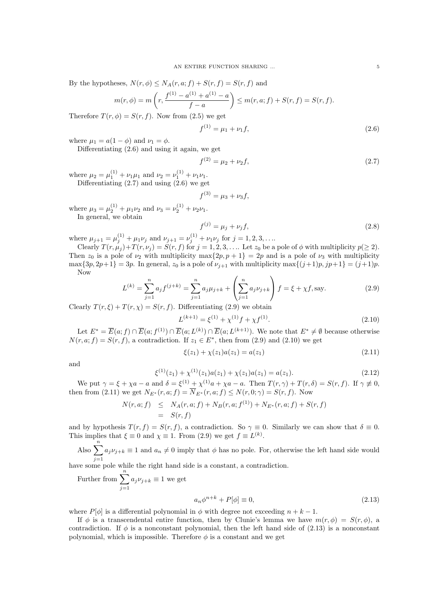By the hypotheses,  $N(r, \phi) \leq N_A(r, a; f) + S(r, f) = S(r, f)$  and

$$
m(r,\phi) = m\left(r, \frac{f^{(1)} - a^{(1)} + a^{(1)} - a}{f - a}\right) \le m(r,a;f) + S(r,f) = S(r,f).
$$

Therefore  $T(r, \phi) = S(r, f)$ . Now from (2.5) we get

$$
f^{(1)} = \mu_1 + \nu_1 f,\tag{2.6}
$$

where  $\mu_1 = a(1 - \phi)$  and  $\nu_1 = \phi$ .

Differentiating (2.6) and using it again, we get

$$
f^{(2)} = \mu_2 + \nu_2 f,\tag{2.7}
$$

where  $\mu_2 = \mu_1^{(1)} + \nu_1 \mu_1$  and  $\nu_2 = \nu_1^{(1)} + \nu_1 \nu_1$ . Differentiating  $(2.7)$  and using  $(2.6)$  we get

$$
f^{(3)} = \mu_3 + \nu_3 f,
$$

where  $\mu_3 = \mu_2^{(1)} + \mu_1 \nu_2$  and  $\nu_3 = \nu_2^{(1)} + \nu_2 \nu_1$ . In general, we obtain

$$
f^{(j)} = \mu_j + \nu_j f,\tag{2.8}
$$

where  $\mu_{j+1} = \mu_j^{(1)} + \mu_1 \nu_j$  and  $\nu_{j+1} = \nu_j^{(1)} + \nu_1 \nu_j$  for  $j = 1, 2, 3, \dots$ 

Clearly  $T(r, \mu_j)+T(r, \nu_j)=S(r, f)$  for  $j=1, 2, 3, \ldots$  Let  $z_0$  be a pole of  $\phi$  with multiplicity  $p(\geq 2)$ . Then  $z_0$  is a pole of  $\nu_2$  with multiplicity max $\{2p, p+1\} = 2p$  and is a pole of  $\nu_3$  with multiplicity  $\max\{3p, 2p+1\} = 3p$ . In general,  $z_0$  is a pole of  $\nu_{j+1}$  with multiplicity  $\max\{(j+1)p, jp+1\} = (j+1)p$ . Now

$$
L^{(k)} = \sum_{j=1}^{n} a_j f^{(j+k)} = \sum_{j=1}^{n} a_j \mu_{j+k} + \left(\sum_{j=1}^{n} a_j \nu_{j+k}\right) f = \xi + \chi f, \text{say.}
$$
 (2.9)

Clearly  $T(r, \xi) + T(r, \chi) = S(r, f)$ . Differentiating (2.9) we obtain

$$
L^{(k+1)} = \xi^{(1)} + \chi^{(1)}f + \chi f^{(1)}.
$$
\n(2.10)

Let  $E^* = \overline{E}(a; f) \cap \overline{E}(a; f^{(1)}) \cap \overline{E}(a; L^{(k)}) \cap \overline{E}(a; L^{(k+1)})$ . We note that  $E^* \neq \emptyset$  because otherwise  $N(r, a; f) = S(r, f)$ , a contradiction. If  $z_1 \in E^*$ , then from (2.9) and (2.10) we get

$$
\xi(z_1) + \chi(z_1)a(z_1) = a(z_1) \tag{2.11}
$$

and

$$
\xi^{(1)}(z_1) + \chi^{(1)}(z_1)a(z_1) + \chi(z_1)a(z_1) = a(z_1). \tag{2.12}
$$

We put  $\gamma = \xi + \chi a - a$  and  $\delta = \xi^{(1)} + \chi^{(1)} a + \chi a - a$ . Then  $T(r, \gamma) + T(r, \delta) = S(r, f)$ . If  $\gamma \neq 0$ , then from (2.11) we get  $N_{E^*}(r, a; f) = \overline{N}_{E^*}(r, a; f) \le N(r, 0; \gamma) = S(r, f)$ . Now

$$
N(r, a; f) \leq N_A(r, a; f) + N_B(r, a; f^{(1)}) + N_{E^*}(r, a; f) + S(r, f)
$$
  
=  $S(r, f)$ 

and by hypothesis  $T(r, f) = S(r, f)$ , a contradiction. So  $\gamma \equiv 0$ . Similarly we can show that  $\delta \equiv 0$ . This implies that  $\xi \equiv 0$  and  $\chi \equiv 1$ . From (2.9) we get  $f \equiv L^{(k)}$ .

Also  $\sum_{i=1}^{n} a_i \nu_{j+k} \equiv 1$  and  $a_n \neq 0$  imply that  $\phi$  has no pole. For, otherwise the left hand side would have some pole while the right hand side is a constant, a contradiction.

Further from  $\sum_{n=1}^n$  $j=1$  $a_j \nu_{j+k} \equiv 1$  we get

$$
a_n \phi^{n+k} + P[\phi] \equiv 0,\tag{2.13}
$$

where P[ $\phi$ ] is a differential polynomial in  $\phi$  with degree not exceeding  $n + k - 1$ .

If  $\phi$  is a transcendental entire function, then by Clunie's lemma we have  $m(r, \phi) = S(r, \phi)$ , a contradiction. If  $\phi$  is a nonconstant polynomial, then the left hand side of (2.13) is a nonconstant polynomial, which is impossible. Therefore  $\phi$  is a constant and we get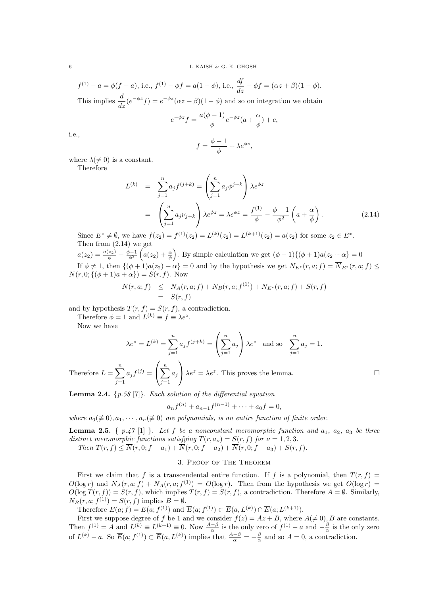$$
f^{(1)} - a = \phi(f - a), \text{ i.e., } f^{(1)} - \phi f = a(1 - \phi), \text{ i.e., } \frac{df}{dz} - \phi f = (\alpha z + \beta)(1 - \phi).
$$
  
\n
$$
F_1 : \begin{array}{ccc} \vdots & \vdots & \vdots \\ \downarrow & \downarrow & \downarrow \\ \end{array}
$$

This implies  $\frac{d}{dz}(e^{-\phi z}f) = e^{-\phi z}(\alpha z + \beta)(1 - \phi)$  and so on integration we obtain

$$
e^{-\phi z} f = \frac{a(\phi - 1)}{\phi} e^{-\phi z} (a + \frac{\alpha}{\phi}) + c,
$$

i.e.,

$$
f = \frac{\phi - 1}{\phi} + \lambda e^{\phi z},
$$

where  $\lambda(\neq 0)$  is a constant.

Therefore

$$
L^{(k)} = \sum_{j=1}^{n} a_j f^{(j+k)} = \left(\sum_{j=1}^{n} a_j \phi^{j+k}\right) \lambda e^{\phi z}
$$
  
= 
$$
\left(\sum_{j=1}^{n} a_j \nu_{j+k}\right) \lambda e^{\phi z} = \lambda e^{\phi z} = \frac{f^{(1)}}{\phi} - \frac{\phi - 1}{\phi^2} \left(a + \frac{\alpha}{\phi}\right).
$$
 (2.14)

Since  $E^* \neq \emptyset$ , we have  $f(z_2) = f^{(1)}(z_2) = L^{(k)}(z_2) = L^{(k+1)}(z_2) = a(z_2)$  for some  $z_2 \in E^*$ . Then from (2.14) we get

 $a(z_2) = \frac{a(z_2)}{\phi} - \frac{\phi - 1}{\phi^2} \left( a(z_2) + \frac{\alpha}{\phi} \right)$ . By simple calculation we get  $(\phi - 1)\{(\phi + 1)a(z_2 + \alpha\} = 0$ If  $\phi \neq 1$ , then  $\{(\phi + 1)a(z_2) + \alpha\} = 0$  and by the hypothesis we get  $N_{E^*}(r, a; f) = \overline{N}_{E^*}(r, a; f) \leq$  $N(r, 0; \{(\phi + 1)a + \alpha\}) = S(r, f)$ . Now

$$
N(r, a; f) \leq N_A(r, a; f) + N_B(r, a; f^{(1)}) + N_{E^*}(r, a; f) + S(r, f)
$$
  
=  $S(r, f)$ 

and by hypothesis  $T(r, f) = S(r, f)$ , a contradiction.

Therefore  $\phi = 1$  and  $L^{(k)} \equiv f \equiv \lambda e^z$ .

Now we have

$$
\lambda e^z = L^{(k)} = \sum_{j=1}^n a_j f^{(j+k)} = \left(\sum_{j=1}^n a_j\right) \lambda e^z \text{ and so } \sum_{j=1}^n a_j = 1.
$$

Therefore  $L = \sum_{n=1}^{\infty}$  $j=1$  $a_j f^{(j)} =$  $\left(\sum_{n=1}^{n}\right)$  $j=1$  $a_j$  $\lambda e^z = \lambda e^z$ . This proves the lemma.

**Lemma 2.4.**  $\{p.58 \mid 7\}$ . Each solution of the differential equation

$$
a_n f^{(n)} + a_{n-1} f^{(n-1)} + \dots + a_0 f = 0,
$$

where  $a_0(\neq 0), a_1, \cdots, a_n(\neq 0)$  are polynomials, is an entire function of finite order.

**Lemma 2.5.**  $\{p.47\ [1]\}$ . Let f be a nonconstant meromorphic function and  $a_1, a_2, a_3$  be three distinct meromorphic functions satisfying  $T(r, a_{\nu}) = S(r, f)$  for  $\nu = 1, 2, 3$ . Then  $T(r, f) \leq \overline{N}(r, 0; f - a_1) + \overline{N}(r, 0; f - a_2) + \overline{N}(r, 0; f - a_3) + S(r, f).$ 

### 3. Proof of The Theorem

First we claim that f is a transcendental entire function. If f is a polynomial, then  $T(r, f)$  =  $O(\log r)$  and  $N_A(r, a; f) + N_A(r, a; f^{(1)}) = O(\log r)$ . Then from the hypothesis we get  $O(\log r)$  $O(\log T(r, f)) = S(r, f)$ , which implies  $T(r, f) = S(r, f)$ , a contradiction. Therefore  $A = \emptyset$ . Similarly,  $N_B(r, a; f^{(1)}) = S(r, f)$  implies  $B = \emptyset$ .

Therefore  $E(a; f) = E(a; f<sup>(1)</sup>)$  and  $\overline{E}(a; f<sup>(1)</sup>) \subset \overline{E}(a, L<sup>(k)</sup>) \cap \overline{E}(a; L<sup>(k+1)</sup>).$ 

First we suppose degree of f be 1 and we consider  $f(z) = Az + B$ , where  $A(\neq 0)$ , B are constants. Then  $f^{(1)} = A$  and  $L^{(k)} \equiv L^{(k+1)} \equiv 0$ . Now  $\frac{A-\beta}{\alpha}$  is the only zero of  $f^{(1)} - a$  and  $-\frac{\beta}{\alpha}$  is the only zero of  $L^{(k)} - a$ . So  $\overline{E}(a; f^{(1)}) \subset \overline{E}(a, L^{(k)})$  implies that  $\frac{A-\beta}{\alpha} = -\frac{\beta}{\alpha}$  and so  $A = 0$ , a contradiction.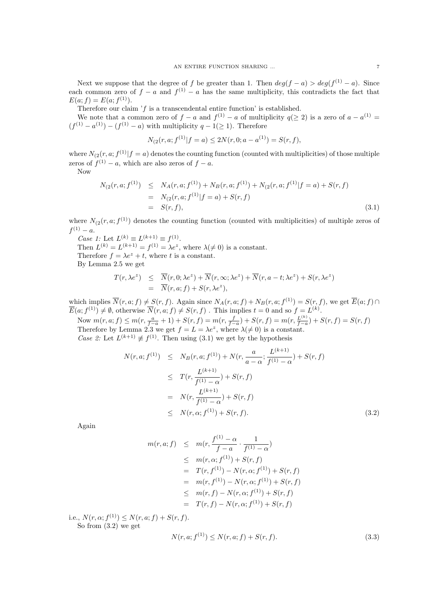Next we suppose that the degree of f be greater than 1. Then  $deg(f - a) > deg(f^{(1)} - a)$ . Since each common zero of  $f - a$  and  $f^{(1)} - a$  has the same multiplicity, this contradicts the fact that  $E(a; f) = E(a; f<sup>(1)</sup>).$ 

Therefore our claim  $'f$  is a transcendental entire function' is established.

We note that a common zero of  $f - a$  and  $f^{(1)} - a$  of multiplicity  $q(\geq 2)$  is a zero of  $a - a^{(1)} =$  $(f<sup>(1)</sup> - a<sup>(1)</sup>) - (f<sup>(1)</sup> - a)$  with multiplicity  $q - 1 \ge 1$ . Therefore

$$
N_{(2}(r, a; f^{(1)} | f = a) \le 2N(r, 0; a - a^{(1)}) = S(r, f),
$$

where  $N_{(2)}(r, a; f^{(1)}|f = a)$  denotes the counting function (counted with multiplicities) of those multiple zeros of  $f^{(1)} - a$ , which are also zeros of  $f - a$ .

Now

$$
N_{(2}(r, a; f^{(1)}) \leq N_A(r, a; f^{(1)}) + N_B(r, a; f^{(1)}) + N_{(2}(r, a; f^{(1)} | f = a) + S(r, f)
$$
  
= 
$$
N_{(2}(r, a; f^{(1)} | f = a) + S(r, f)
$$
  
= 
$$
S(r, f),
$$
 (3.1)

where  $N_{(2)}(r, a; f^{(1)})$  denotes the counting function (counted with multiplicities) of multiple zeros of  $f^{(1)} - a.$ 

*Case 1:* Let  $L^{(k)} \equiv L^{(k+1)} \equiv f^{(1)}$ .

Then  $L^{(k)} = L^{(k+1)} = f^{(1)} = \lambda e^z$ , where  $\lambda (\neq 0)$  is a constant.

Therefore  $f = \lambda e^z + t$ , where t is a constant.

By Lemma 2.5 we get

$$
T(r, \lambda e^z) \leq \overline{N}(r, 0; \lambda e^z) + \overline{N}(r, \infty; \lambda e^z) + \overline{N}(r, a - t; \lambda e^z) + S(r, \lambda e^z)
$$
  
= 
$$
\overline{N}(r, a; f) + S(r, \lambda e^z),
$$

which implies  $\overline{N}(r, a; f) \neq S(r, f)$ . Again since  $N_A(r, a; f) + N_B(r, a; f^{(1)}) = S(r, f)$ , we get  $\overline{E}(a; f) \cap$  $\overline{E}(a; f^{(1)}) \neq \emptyset$ , otherwise  $\overline{N}(r, a; f) \neq S(r, f)$ . This implies  $t = 0$  and so  $f = L^{(k)}$ .

Now 
$$
m(r, a; f) \leq m(r, \frac{a}{f-a} + 1) + S(r, f) = m(r, \frac{f}{f-a}) + S(r, f) = m(r, \frac{L^{(k)}}{f-a}) + S(r, f) = S(r, f)
$$
. Therefore by Lemma 2.3 we get  $f = L = \lambda e^z$ , where  $\lambda(\neq 0)$  is a constant.

*Case 2*: Let  $L^{(k+1)} \not\equiv f^{(1)}$ . Then using (3.1) we get by the hypothesis

$$
N(r, a; f^{(1)}) \leq N_B(r, a; f^{(1)}) + N(r, \frac{a}{a - \alpha}; \frac{L^{(k+1)}}{f^{(1)} - \alpha}) + S(r, f)
$$
  
\n
$$
\leq T(r, \frac{L^{(k+1)}}{f^{(1)} - \alpha}) + S(r, f)
$$
  
\n
$$
= N(r, \frac{L^{(k+1)}}{f^{(1)} - \alpha}) + S(r, f)
$$
  
\n
$$
\leq N(r, \alpha; f^{(1)}) + S(r, f).
$$
 (3.2)

Again

$$
m(r, a; f) \leq m(r, \frac{f^{(1)} - \alpha}{f - a} \cdot \frac{1}{f^{(1)} - \alpha})
$$
  
\n
$$
\leq m(r, \alpha; f^{(1)}) + S(r, f)
$$
  
\n
$$
= T(r, f^{(1)}) - N(r, \alpha; f^{(1)}) + S(r, f)
$$
  
\n
$$
= m(r, f^{(1)}) - N(r, \alpha; f^{(1)}) + S(r, f)
$$
  
\n
$$
\leq m(r, f) - N(r, \alpha; f^{(1)}) + S(r, f)
$$
  
\n
$$
= T(r, f) - N(r, \alpha; f^{(1)}) + S(r, f)
$$

i.e.,  $N(r, \alpha; f^{(1)}) \leq N(r, a; f) + S(r, f)$ . So from (3.2) we get

$$
N(r, a; f^{(1)}) \le N(r, a; f) + S(r, f). \tag{3.3}
$$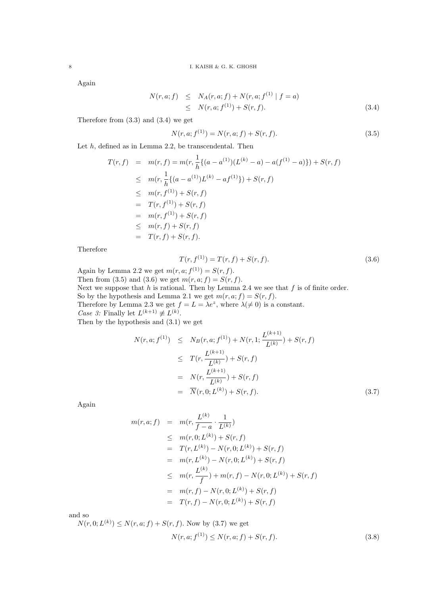Again

$$
N(r, a; f) \leq N_A(r, a; f) + N(r, a; f(1) | f = a)
$$
  
 
$$
\leq N(r, a; f(1)) + S(r, f).
$$
 (3.4)

Therefore from (3.3) and (3.4) we get

$$
N(r, a; f(1)) = N(r, a; f) + S(r, f).
$$
\n(3.5)

Let  $h$ , defined as in Lemma 2.2, be transcendental. Then

$$
T(r, f) = m(r, f) = m(r, \frac{1}{h} \{ (a - a^{(1)}) (L^{(k)} - a) - a(f^{(1)} - a) \}) + S(r, f)
$$
  
\n
$$
\leq m(r, \frac{1}{h} \{ (a - a^{(1)}) L^{(k)} - a f^{(1)} \}) + S(r, f)
$$
  
\n
$$
\leq m(r, f^{(1)}) + S(r, f)
$$
  
\n
$$
= T(r, f^{(1)}) + S(r, f)
$$
  
\n
$$
\leq m(r, f) + S(r, f)
$$
  
\n
$$
= T(r, f) + S(r, f).
$$

Therefore

$$
T(r, f(1)) = T(r, f) + S(r, f).
$$
\n(3.6)

Again by Lemma 2.2 we get  $m(r, a; f<sup>(1)</sup>) = S(r, f)$ . Then from (3.5) and (3.6) we get  $m(r, a; f) = S(r, f)$ . Next we suppose that  $h$  is rational. Then by Lemma 2.4 we see that  $f$  is of finite order. So by the hypothesis and Lemma 2.1 we get  $m(r, a; f) = S(r, f)$ . Therefore by Lemma 2.3 we get  $f = L = \lambda e^z$ , where  $\lambda (\neq 0)$  is a constant. *Case 3:* Finally let  $L^{(k+1)} \not\equiv L^{(k)}$ . Then by the hypothesis and (3.1) we get

$$
N(r, a; f^{(1)}) \leq N_B(r, a; f^{(1)}) + N(r, 1; \frac{L^{(k+1)}}{L^{(k)}}) + S(r, f)
$$
  
\n
$$
\leq T(r, \frac{L^{(k+1)}}{L^{(k)}}) + S(r, f)
$$
  
\n
$$
= N(r, \frac{L^{(k+1)}}{L^{(k)}}) + S(r, f)
$$
  
\n
$$
= \overline{N}(r, 0; L^{(k)}) + S(r, f).
$$
 (3.7)

Again

$$
m(r, a; f) = m(r, \frac{L^{(k)}}{f - a} \cdot \frac{1}{L^{(k)}})
$$
  
\n
$$
\leq m(r, 0; L^{(k)}) + S(r, f)
$$
  
\n
$$
= T(r, L^{(k)}) - N(r, 0; L^{(k)}) + S(r, f)
$$
  
\n
$$
= m(r, L^{(k)}) - N(r, 0; L^{(k)}) + S(r, f)
$$
  
\n
$$
\leq m(r, \frac{L^{(k)}}{f}) + m(r, f) - N(r, 0; L^{(k)}) + S(r, f)
$$
  
\n
$$
= m(r, f) - N(r, 0; L^{(k)}) + S(r, f)
$$
  
\n
$$
= T(r, f) - N(r, 0; L^{(k)}) + S(r, f)
$$

and so

 $N(r, 0; L^{(k)}) \leq N(r, a; f) + S(r, f)$ . Now by (3.7) we get

$$
N(r, a; f^{(1)}) \le N(r, a; f) + S(r, f). \tag{3.8}
$$